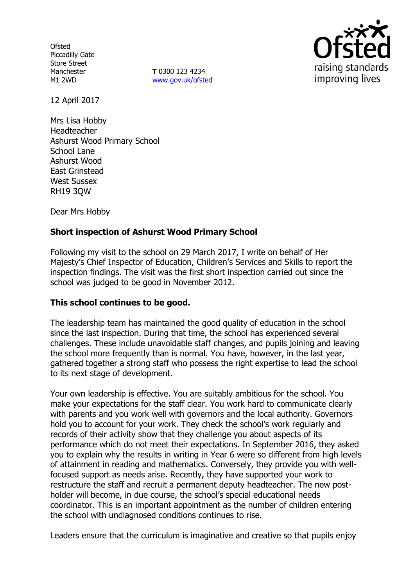**Ofsted** Piccadilly Gate Store Street Manchester M1 2WD

**T** 0300 123 4234 www.gov.uk/ofsted



12 April 2017

Mrs Lisa Hobby Headteacher Ashurst Wood Primary School School Lane Ashurst Wood East Grinstead West Sussex RH19 3QW

Dear Mrs Hobby

# **Short inspection of Ashurst Wood Primary School**

Following my visit to the school on 29 March 2017, I write on behalf of Her Majesty's Chief Inspector of Education, Children's Services and Skills to report the inspection findings. The visit was the first short inspection carried out since the school was judged to be good in November 2012.

### **This school continues to be good.**

The leadership team has maintained the good quality of education in the school since the last inspection. During that time, the school has experienced several challenges. These include unavoidable staff changes, and pupils joining and leaving the school more frequently than is normal. You have, however, in the last year, gathered together a strong staff who possess the right expertise to lead the school to its next stage of development.

Your own leadership is effective. You are suitably ambitious for the school. You make your expectations for the staff clear. You work hard to communicate clearly with parents and you work well with governors and the local authority. Governors hold you to account for your work. They check the school's work regularly and records of their activity show that they challenge you about aspects of its performance which do not meet their expectations. In September 2016, they asked you to explain why the results in writing in Year 6 were so different from high levels of attainment in reading and mathematics. Conversely, they provide you with wellfocused support as needs arise. Recently, they have supported your work to restructure the staff and recruit a permanent deputy headteacher. The new postholder will become, in due course, the school's special educational needs coordinator. This is an important appointment as the number of children entering the school with undiagnosed conditions continues to rise.

Leaders ensure that the curriculum is imaginative and creative so that pupils enjoy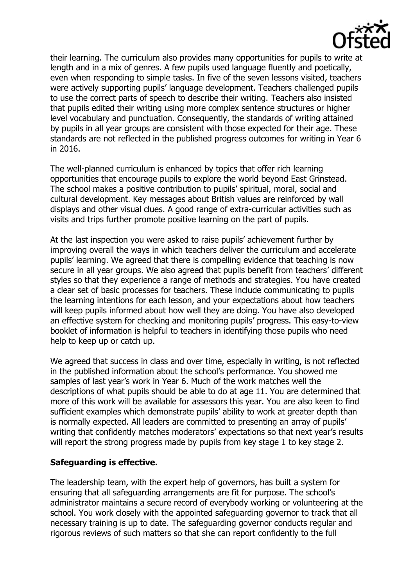

their learning. The curriculum also provides many opportunities for pupils to write at length and in a mix of genres. A few pupils used language fluently and poetically, even when responding to simple tasks. In five of the seven lessons visited, teachers were actively supporting pupils' language development. Teachers challenged pupils to use the correct parts of speech to describe their writing. Teachers also insisted that pupils edited their writing using more complex sentence structures or higher level vocabulary and punctuation. Consequently, the standards of writing attained by pupils in all year groups are consistent with those expected for their age. These standards are not reflected in the published progress outcomes for writing in Year 6 in 2016.

The well-planned curriculum is enhanced by topics that offer rich learning opportunities that encourage pupils to explore the world beyond East Grinstead. The school makes a positive contribution to pupils' spiritual, moral, social and cultural development. Key messages about British values are reinforced by wall displays and other visual clues. A good range of extra-curricular activities such as visits and trips further promote positive learning on the part of pupils.

At the last inspection you were asked to raise pupils' achievement further by improving overall the ways in which teachers deliver the curriculum and accelerate pupils' learning. We agreed that there is compelling evidence that teaching is now secure in all year groups. We also agreed that pupils benefit from teachers' different styles so that they experience a range of methods and strategies. You have created a clear set of basic processes for teachers. These include communicating to pupils the learning intentions for each lesson, and your expectations about how teachers will keep pupils informed about how well they are doing. You have also developed an effective system for checking and monitoring pupils' progress. This easy-to-view booklet of information is helpful to teachers in identifying those pupils who need help to keep up or catch up.

We agreed that success in class and over time, especially in writing, is not reflected in the published information about the school's performance. You showed me samples of last year's work in Year 6. Much of the work matches well the descriptions of what pupils should be able to do at age 11. You are determined that more of this work will be available for assessors this year. You are also keen to find sufficient examples which demonstrate pupils' ability to work at greater depth than is normally expected. All leaders are committed to presenting an array of pupils' writing that confidently matches moderators' expectations so that next year's results will report the strong progress made by pupils from key stage 1 to key stage 2.

### **Safeguarding is effective.**

The leadership team, with the expert help of governors, has built a system for ensuring that all safeguarding arrangements are fit for purpose. The school's administrator maintains a secure record of everybody working or volunteering at the school. You work closely with the appointed safeguarding governor to track that all necessary training is up to date. The safeguarding governor conducts regular and rigorous reviews of such matters so that she can report confidently to the full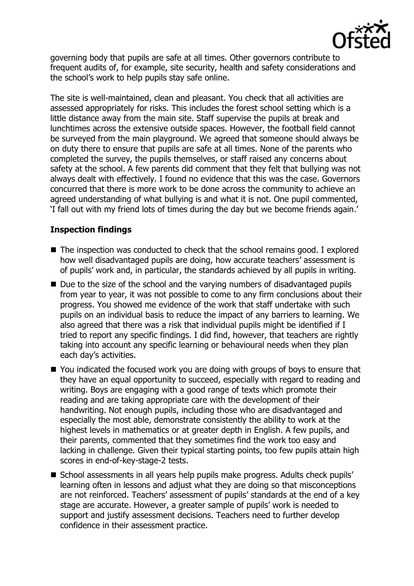

governing body that pupils are safe at all times. Other governors contribute to frequent audits of, for example, site security, health and safety considerations and the school's work to help pupils stay safe online.

The site is well-maintained, clean and pleasant. You check that all activities are assessed appropriately for risks. This includes the forest school setting which is a little distance away from the main site. Staff supervise the pupils at break and lunchtimes across the extensive outside spaces. However, the football field cannot be surveyed from the main playground. We agreed that someone should always be on duty there to ensure that pupils are safe at all times. None of the parents who completed the survey, the pupils themselves, or staff raised any concerns about safety at the school. A few parents did comment that they felt that bullying was not always dealt with effectively. I found no evidence that this was the case. Governors concurred that there is more work to be done across the community to achieve an agreed understanding of what bullying is and what it is not. One pupil commented, 'I fall out with my friend lots of times during the day but we become friends again.'

## **Inspection findings**

- The inspection was conducted to check that the school remains good. I explored how well disadvantaged pupils are doing, how accurate teachers' assessment is of pupils' work and, in particular, the standards achieved by all pupils in writing.
- $\blacksquare$  Due to the size of the school and the varying numbers of disadvantaged pupils from year to year, it was not possible to come to any firm conclusions about their progress. You showed me evidence of the work that staff undertake with such pupils on an individual basis to reduce the impact of any barriers to learning. We also agreed that there was a risk that individual pupils might be identified if I tried to report any specific findings. I did find, however, that teachers are rightly taking into account any specific learning or behavioural needs when they plan each day's activities.
- You indicated the focused work you are doing with groups of boys to ensure that they have an equal opportunity to succeed, especially with regard to reading and writing. Boys are engaging with a good range of texts which promote their reading and are taking appropriate care with the development of their handwriting. Not enough pupils, including those who are disadvantaged and especially the most able, demonstrate consistently the ability to work at the highest levels in mathematics or at greater depth in English. A few pupils, and their parents, commented that they sometimes find the work too easy and lacking in challenge. Given their typical starting points, too few pupils attain high scores in end-of-key-stage-2 tests.
- School assessments in all years help pupils make progress. Adults check pupils' learning often in lessons and adjust what they are doing so that misconceptions are not reinforced. Teachers' assessment of pupils' standards at the end of a key stage are accurate. However, a greater sample of pupils' work is needed to support and justify assessment decisions. Teachers need to further develop confidence in their assessment practice.